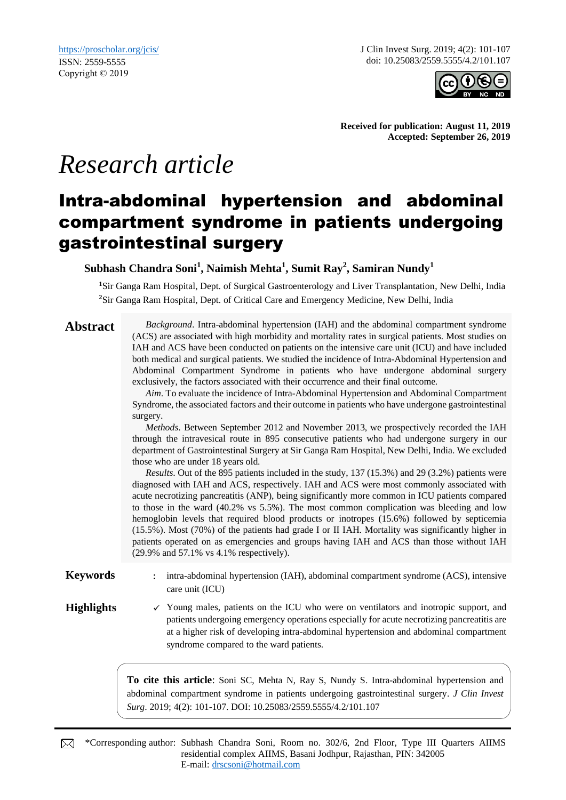J Clin Invest Surg. 2019; 4(2): 101-107 doi: 10.25083/2559.5555/4.2/101.107



**Received for publication: August 11, 2019 Accepted: September 26, 2019**

# *Research article*

## Intra-abdominal hypertension and abdominal compartment syndrome in patients undergoing gastrointestinal surgery

**Subhash Chandra Soni<sup>1</sup> , Naimish Mehta<sup>1</sup> , Sumit Ray<sup>2</sup> , Samiran Nundy<sup>1</sup>**

**<sup>1</sup>**Sir Ganga Ram Hospital, Dept. of Surgical Gastroenterology and Liver Transplantation, New Delhi, India **<sup>2</sup>**Sir Ganga Ram Hospital, Dept. of Critical Care and Emergency Medicine, New Delhi, India

**Abstract** *Background*. Intra-abdominal hypertension (IAH) and the abdominal compartment syndrome (ACS) are associated with high morbidity and mortality rates in surgical patients. Most studies on IAH and ACS have been conducted on patients on the intensive care unit (ICU) and have included both medical and surgical patients. We studied the incidence of Intra-Abdominal Hypertension and Abdominal Compartment Syndrome in patients who have undergone abdominal surgery exclusively, the factors associated with their occurrence and their final outcome.

> *Aim*. To evaluate the incidence of Intra-Abdominal Hypertension and Abdominal Compartment Syndrome, the associated factors and their outcome in patients who have undergone gastrointestinal surgery.

> *Methods*. Between September 2012 and November 2013, we prospectively recorded the IAH through the intravesical route in 895 consecutive patients who had undergone surgery in our department of Gastrointestinal Surgery at Sir Ganga Ram Hospital, New Delhi, India. We excluded those who are under 18 years old.

> *Results*. Out of the 895 patients included in the study, 137 (15.3%) and 29 (3.2%) patients were diagnosed with IAH and ACS, respectively. IAH and ACS were most commonly associated with acute necrotizing pancreatitis (ANP), being significantly more common in ICU patients compared to those in the ward (40.2% vs 5.5%). The most common complication was bleeding and low hemoglobin levels that required blood products or inotropes (15.6%) followed by septicemia (15.5%). Most (70%) of the patients had grade I or II IAH. Mortality was significantly higher in patients operated on as emergencies and groups having IAH and ACS than those without IAH (29.9% and 57.1% vs 4.1% respectively).

**Keywords** : intra-abdominal hypertension (IAH), abdominal compartment syndrome (ACS), intensive care unit (ICU)

Highlights **√** Young males, patients on the ICU who were on ventilators and inotropic support, and patients undergoing emergency operations especially for acute necrotizing pancreatitis are at a higher risk of developing intra-abdominal hypertension and abdominal compartment syndrome compared to the ward patients.

> **To cite this article**: Soni SC, Mehta N, Ray S, Nundy S. Intra-abdominal hypertension and abdominal compartment syndrome in patients undergoing gastrointestinal surgery. *J Clin Invest Surg*. 2019; 4(2): 101-107. DOI: 10.25083/2559.5555/4.2/101.107

\*Corresponding author: Subhash Chandra Soni, Room no. 302/6, 2nd Floor, Type III Quarters AIIMS ⊠ residential complex AIIMS, Basani Jodhpur, Rajasthan, PIN: 342005 E-mail: [drscsoni@hotmail.com](mailto:drscsoni@hotmail.com)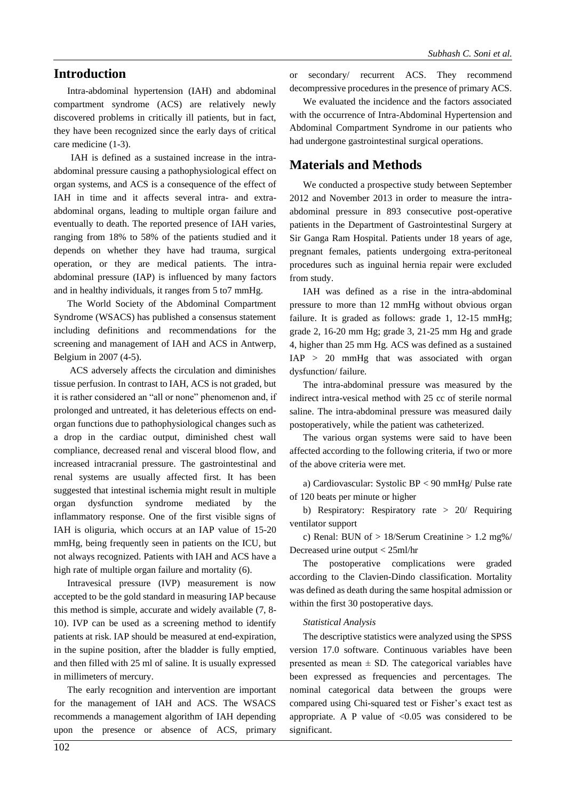#### **Introduction**

Intra-abdominal hypertension (IAH) and abdominal compartment syndrome (ACS) are relatively newly discovered problems in critically ill patients, but in fact, they have been recognized since the early days of critical care medicine (1-3).

IAH is defined as a sustained increase in the intraabdominal pressure causing a pathophysiological effect on organ systems, and ACS is a consequence of the effect of IAH in time and it affects several intra- and extraabdominal organs, leading to multiple organ failure and eventually to death. The reported presence of IAH varies, ranging from 18% to 58% of the patients studied and it depends on whether they have had trauma, surgical operation, or they are medical patients. The intraabdominal pressure (IAP) is influenced by many factors and in healthy individuals, it ranges from 5 to7 mmHg.

The World Society of the Abdominal Compartment Syndrome (WSACS) has published a consensus statement including definitions and recommendations for the screening and management of IAH and ACS in Antwerp, Belgium in 2007 (4-5).

ACS adversely affects the circulation and diminishes tissue perfusion. In contrast to IAH, ACS is not graded, but it is rather considered an "all or none" phenomenon and, if prolonged and untreated, it has deleterious effects on endorgan functions due to pathophysiological changes such as a drop in the cardiac output, diminished chest wall compliance, decreased renal and visceral blood flow, and increased intracranial pressure. The gastrointestinal and renal systems are usually affected first. It has been suggested that intestinal ischemia might result in multiple organ dysfunction syndrome mediated by the inflammatory response. One of the first visible signs of IAH is oliguria, which occurs at an IAP value of 15-20 mmHg, being frequently seen in patients on the ICU, but not always recognized. Patients with IAH and ACS have a high rate of multiple organ failure and mortality (6).

Intravesical pressure (IVP) measurement is now accepted to be the gold standard in measuring IAP because this method is simple, accurate and widely available (7, 8- 10). IVP can be used as a screening method to identify patients at risk. IAP should be measured at end-expiration, in the supine position, after the bladder is fully emptied, and then filled with 25 ml of saline. It is usually expressed in millimeters of mercury.

The early recognition and intervention are important for the management of IAH and ACS. The WSACS recommends a management algorithm of IAH depending upon the presence or absence of ACS, primary or secondary/ recurrent ACS. They recommend decompressive procedures in the presence of primary ACS.

We evaluated the incidence and the factors associated with the occurrence of Intra-Abdominal Hypertension and Abdominal Compartment Syndrome in our patients who had undergone gastrointestinal surgical operations.

#### **Materials and Methods**

We conducted a prospective study between September 2012 and November 2013 in order to measure the intraabdominal pressure in 893 consecutive post-operative patients in the Department of Gastrointestinal Surgery at Sir Ganga Ram Hospital. Patients under 18 years of age, pregnant females, patients undergoing extra-peritoneal procedures such as inguinal hernia repair were excluded from study.

IAH was defined as a rise in the intra-abdominal pressure to more than 12 mmHg without obvious organ failure. It is graded as follows: grade 1, 12-15 mmHg; grade 2, 16-20 mm Hg; grade 3, 21-25 mm Hg and grade 4, higher than 25 mm Hg. ACS was defined as a sustained IAP > 20 mmHg that was associated with organ dysfunction/ failure.

The intra-abdominal pressure was measured by the indirect intra-vesical method with 25 cc of sterile normal saline. The intra-abdominal pressure was measured daily postoperatively, while the patient was catheterized.

The various organ systems were said to have been affected according to the following criteria, if two or more of the above criteria were met.

a) Cardiovascular: Systolic BP < 90 mmHg/ Pulse rate of 120 beats per minute or higher

b) Respiratory: Respiratory rate > 20/ Requiring ventilator support

c) Renal: BUN of > 18/Serum Creatinine > 1.2 mg%/ Decreased urine output < 25ml/hr

The postoperative complications were graded according to the Clavien-Dindo classification. Mortality was defined as death during the same hospital admission or within the first 30 postoperative days.

#### *Statistical Analysis*

The descriptive statistics were analyzed using the SPSS version 17.0 software. Continuous variables have been presented as mean  $\pm$  SD. The categorical variables have been expressed as frequencies and percentages. The nominal categorical data between the groups were compared using Chi-squared test or Fisher's exact test as appropriate. A P value of  $< 0.05$  was considered to be significant.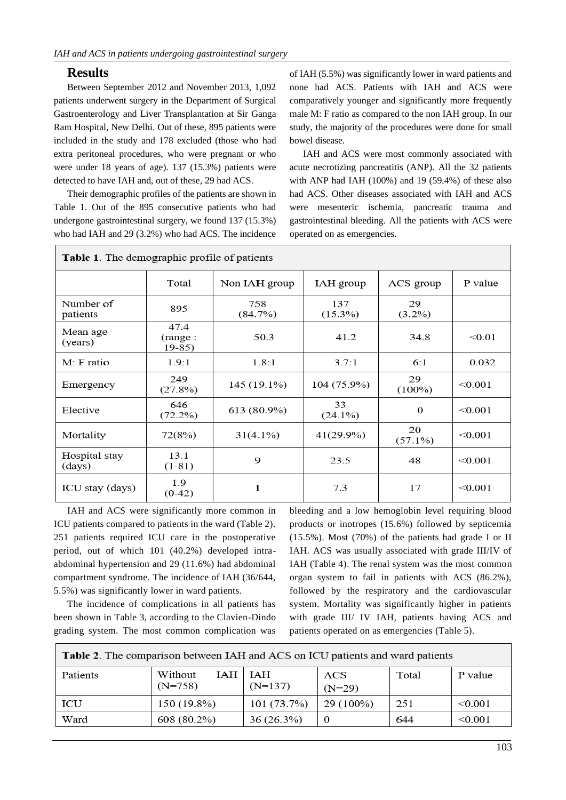#### **Results**

Between September 2012 and November 2013, 1,092 patients underwent surgery in the Department of Surgical Gastroenterology and Liver Transplantation at Sir Ganga Ram Hospital, New Delhi. Out of these, 895 patients were included in the study and 178 excluded (those who had extra peritoneal procedures, who were pregnant or who were under 18 years of age). 137 (15.3%) patients were detected to have IAH and, out of these, 29 had ACS.

Their demographic profiles of the patients are shown in Table 1. Out of the 895 consecutive patients who had undergone gastrointestinal surgery, we found 137 (15.3%) who had IAH and 29 (3.2%) who had ACS. The incidence of IAH (5.5%) was significantly lower in ward patients and none had ACS. Patients with IAH and ACS were comparatively younger and significantly more frequently male M: F ratio as compared to the non IAH group. In our study, the majority of the procedures were done for small bowel disease.

IAH and ACS were most commonly associated with acute necrotizing pancreatitis (ANP). All the 32 patients with ANP had IAH (100%) and 19 (59.4%) of these also had ACS. Other diseases associated with IAH and ACS were mesenteric ischemia, pancreatic trauma and gastrointestinal bleeding. All the patients with ACS were operated on as emergencies.

| <b>Table 1.</b> The demographic profile of patients |                            |                |                   |                  |         |
|-----------------------------------------------------|----------------------------|----------------|-------------------|------------------|---------|
|                                                     | Total                      | Non IAH group  | IAH group         | ACS group        | P value |
| Number of<br>patients                               | 895                        | 758<br>(84.7%) | 137<br>$(15.3\%)$ | 29<br>$(3.2\%)$  |         |
| Mean age<br>(years)                                 | 47.4<br>(range:<br>$19-85$ | 50.3           | 41.2              | 34.8             | < 0.01  |
| M: F ratio                                          | 1.9:1                      | 1.8:1          | 3.7:1             | 6:1              | 0.032   |
| Emergency                                           | 249<br>(27.8%)             | 145 (19.1%)    | 104 (75.9%)       | 29<br>$(100\%)$  | < 0.001 |
| Elective                                            | 646<br>$(72.2\%)$          | 613 (80.9%)    | 33<br>$(24.1\%)$  | $\theta$         | < 0.001 |
| Mortality                                           | 72(8%)                     | $31(4.1\%)$    | 41(29.9%)         | 20<br>$(57.1\%)$ | < 0.001 |
| Hospital stay<br>(days)                             | 13.1<br>$(1-81)$           | 9              | 23.5              | 48               | < 0.001 |
| ICU stay (days)                                     | 1.9<br>$(0-42)$            | 1              | 7.3               | 17               | < 0.001 |

 $\vert$  Table 1. The demographic profile of patients

IAH and ACS were significantly more common in ICU patients compared to patients in the ward (Table 2). 251 patients required ICU care in the postoperative period, out of which 101 (40.2%) developed intraabdominal hypertension and 29 (11.6%) had abdominal compartment syndrome. The incidence of IAH (36/644, 5.5%) was significantly lower in ward patients.

The incidence of complications in all patients has been shown in Table 3, according to the Clavien-Dindo grading system. The most common complication was bleeding and a low hemoglobin level requiring blood products or inotropes (15.6%) followed by septicemia (15.5%). Most (70%) of the patients had grade I or II IAH. ACS was usually associated with grade III/IV of IAH (Table 4). The renal system was the most common organ system to fail in patients with ACS (86.2%), followed by the respiratory and the cardiovascular system. Mortality was significantly higher in patients with grade III/ IV IAH, patients having ACS and patients operated on as emergencies (Table 5).

| <b>Table 2.</b> The comparison between IAH and ACS on ICU patients and ward patients |                      |  |                      |                  |       |         |
|--------------------------------------------------------------------------------------|----------------------|--|----------------------|------------------|-------|---------|
| Patients                                                                             | Without<br>$(N=758)$ |  | IAH∣IAH<br>$(N=137)$ | ACS<br>$(N=29)$  | Total | P value |
| ICU                                                                                  | 150 (19.8%)          |  | 101(73.7%)           | $29(100\%)$      | 251   | < 0.001 |
| Ward                                                                                 | 608 (80.2%)          |  | 36(26.3%)            | $\boldsymbol{0}$ | 644   | < 0.001 |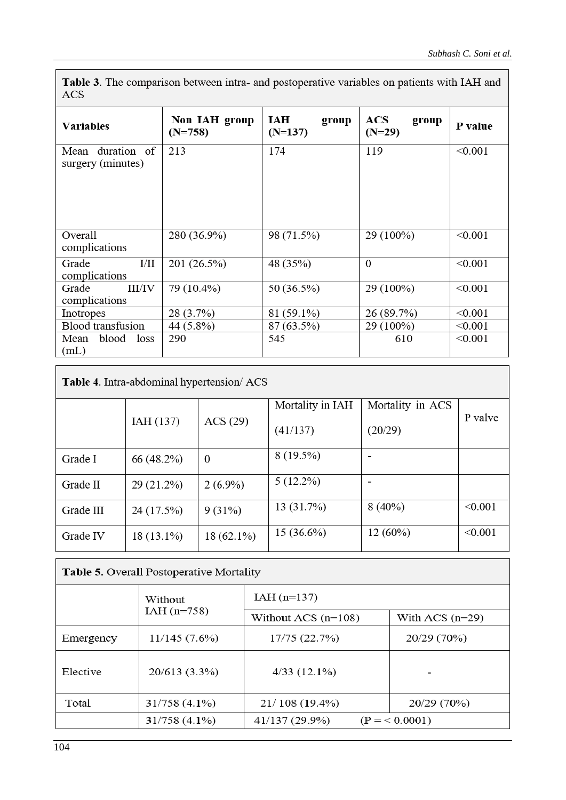Table 3. The comparison between intra- and postoperative variables on patients with IAH and ACS

| <b>Variables</b>                      | Non IAH group<br>$(N=758)$ | <b>IAH</b><br>group<br>$(N=137)$ | ACS<br>group<br>$(N=29)$ | P value   |  |
|---------------------------------------|----------------------------|----------------------------------|--------------------------|-----------|--|
| Mean duration of<br>surgery (minutes) | 213                        | 174                              | 119                      | < 0.001   |  |
| Overall<br>complications              | 280 (36.9%)                | 98 (71.5%)                       | 29 (100%)                | < 0.001   |  |
| $\rm{I/II}$<br>Grade<br>complications | 201 (26.5%)                | 48 (35%)                         | $\Omega$                 | < 0.001   |  |
| Grade<br>III/IV<br>complications      | 79 (10.4%)                 | 50 (36.5%)                       | 29 (100%)                | < 0.001   |  |
| Inotropes                             | 28 (3.7%)                  | 81 (59.1%)                       | 26 (89.7%)               | < 0.001   |  |
| Blood transfusion                     | 44 (5.8%)                  | 87 (63.5%)                       | 29 (100%)                | $<$ 0.001 |  |
| blood loss<br>Mean<br>(mL)            | 290                        | 545                              | 610                      | < 0.001   |  |

Table 4. Intra-abdominal hypertension/ ACS

|           |              |              | Mortality in IAH | Mortality in ACS |         |
|-----------|--------------|--------------|------------------|------------------|---------|
|           | IAH(137)     | ACS (29)     | (41/137)         | (20/29)          | P valve |
| Grade I   | 66 (48.2%)   | $\theta$     | $8(19.5\%)$      |                  |         |
| Grade II  | $29(21.2\%)$ | $2(6.9\%)$   | $5(12.2\%)$      |                  |         |
| Grade III | 24 (17.5%)   | 9(31%)       | 13 (31.7%)       | $8(40\%)$        | < 0.001 |
| Grade IV  | $18(13.1\%)$ | $18(62.1\%)$ | $15(36.6\%)$     | 12(60%)          | < 0.001 |

### Table 5. Overall Postoperative Mortality

|           | Without         | $IAH$ (n=137)         |                   |  |
|-----------|-----------------|-----------------------|-------------------|--|
|           | $IAH$ (n=758)   | Without ACS $(n=108)$ | With ACS $(n=29)$ |  |
| Emergency | 11/145(7.6%)    | 17/75 (22.7%)         | 20/29 (70%)       |  |
| Elective  | 20/613 (3.3%)   | 4/33(12.1%)           |                   |  |
| Total     | $31/758(4.1\%)$ | $21/108(19.4\%)$      | 20/29 (70%)       |  |
|           | 31/758 (4.1%)   | 41/137 (29.9%)        | $(P = 0.0001)$    |  |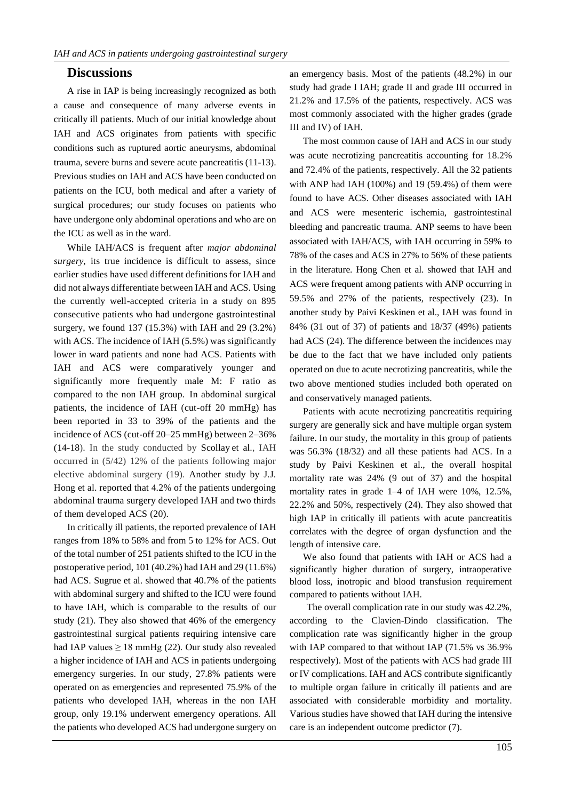#### **Discussions**

A rise in IAP is being increasingly recognized as both a cause and consequence of many adverse events in critically ill patients. Much of our initial knowledge about IAH and ACS originates from patients with specific conditions such as ruptured aortic aneurysms, abdominal trauma, severe burns and severe acute pancreatitis (11-13). Previous studies on IAH and ACS have been conducted on patients on the ICU, both medical and after a variety of surgical procedures; our study focuses on patients who have undergone only abdominal operations and who are on the ICU as well as in the ward.

While IAH/ACS is frequent after *major abdominal surgery*, its true incidence is difficult to assess, since earlier studies have used different definitions for IAH and did not always differentiate between IAH and ACS. Using the currently well-accepted criteria in a study on 895 consecutive patients who had undergone gastrointestinal surgery, we found 137 (15.3%) with IAH and 29 (3.2%) with ACS. The incidence of IAH (5.5%) was significantly lower in ward patients and none had ACS. Patients with IAH and ACS were comparatively younger and significantly more frequently male M: F ratio as compared to the non IAH group. In abdominal surgical patients, the incidence of IAH (cut-off 20 mmHg) has been reported in 33 to 39% of the patients and the incidence of ACS (cut-off 20–25 mmHg) between 2–36% (14-18). In the study conducted by Scollay [e](mailto:john.scollay@nhs.net)t al., IAH occurred in (5/42) 12% of the patients following major elective abdominal surgery (19). Another study by J.J. Hong et al. reported that 4.2% of the patients undergoing abdominal trauma surgery developed IAH and two thirds of them developed ACS (20).

In critically ill patients, the reported prevalence of IAH ranges from 18% to 58% and from 5 to 12% for ACS. Out of the total number of 251 patients shifted to the ICU in the postoperative period, 101 (40.2%) had IAH and 29 (11.6%) had ACS. Sugrue et al. showed that 40.7% of the patients with abdominal surgery and shifted to the ICU were found to have IAH, which is comparable to the results of our study (21). They also showed that 46% of the emergency gastrointestinal surgical patients requiring intensive care had IAP values  $\geq 18$  mmHg (22). Our study also revealed a higher incidence of IAH and ACS in patients undergoing emergency surgeries. In our study, 27.8% patients were operated on as emergencies and represented 75.9% of the patients who developed IAH, whereas in the non IAH group, only 19.1% underwent emergency operations. All the patients who developed ACS had undergone surgery on an emergency basis. Most of the patients (48.2%) in our study had grade I IAH; grade II and grade III occurred in 21.2% and 17.5% of the patients, respectively. ACS was most commonly associated with the higher grades (grade III and IV) of IAH.

The most common cause of IAH and ACS in our study was acute necrotizing pancreatitis accounting for  $18.2\%$ and 72.4% of the patients, respectively. All the 32 patients with ANP had IAH (100%) and 19 (59.4%) of them were found to have ACS. Other diseases associated with IAH and ACS were mesenteric ischemia, gastrointestinal bleeding and pancreatic trauma. ANP seems to have been associated with IAH/ACS, with IAH occurring in 59% to 78% of the cases and ACS in 27% to 56% of these patients in the literature. Hong Chen et al. showed that IAH and ACS were frequent among patients with ANP occurring in 59.5% and 27% of the patients, respectively (23). In another study by Paivi Keskinen et al., IAH was found in 84% (31 out of 37) of patients and 18/37 (49%) patients had ACS (24). The difference between the incidences may be due to the fact that we have included only patients operated on due to acute necrotizing pancreatitis, while the two above mentioned studies included both operated on and conservatively managed patients.

Patients with acute necrotizing pancreatitis requiring surgery are generally sick and have multiple organ system failure. In our study, the mortality in this group of patients was 56.3% (18/32) and all these patients had ACS. In a study by Paivi Keskinen et al., the overall hospital mortality rate was 24% (9 out of 37) and the hospital mortality rates in grade 1–4 of IAH were 10%, 12.5%, 22.2% and 50%, respectively (24). They also showed that high IAP in critically ill patients with acute pancreatitis correlates with the degree of organ dysfunction and the length of intensive care.

We also found that patients with IAH or ACS had a significantly higher duration of surgery, intraoperative blood loss, inotropic and blood transfusion requirement compared to patients without IAH.

The overall complication rate in our study was 42.2%, according to the Clavien-Dindo classification. The complication rate was significantly higher in the group with IAP compared to that without IAP (71.5% vs 36.9% respectively). Most of the patients with ACS had grade III or IV complications. IAH and ACS contribute significantly to multiple organ failure in critically ill patients and are associated with considerable morbidity and mortality. Various studies have showed that IAH during the intensive care is an independent outcome predictor (7).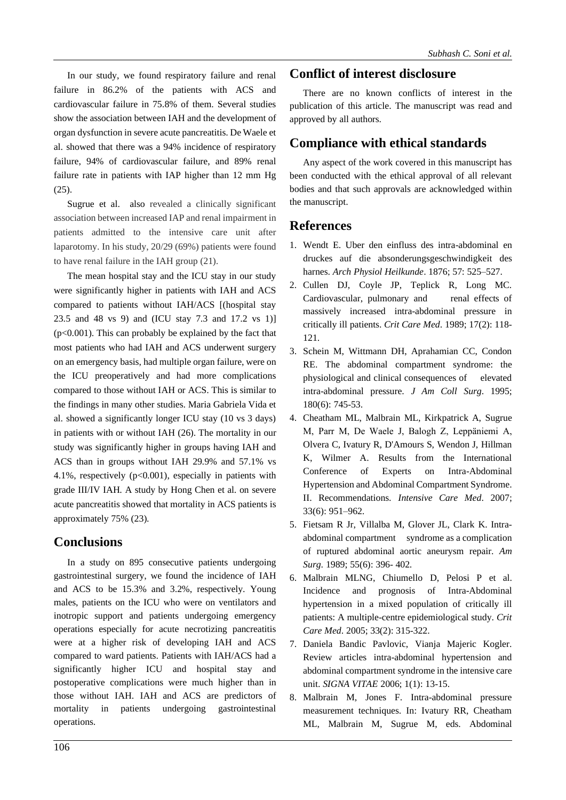In our study, we found respiratory failure and renal failure in 86.2% of the patients with ACS and cardiovascular failure in 75.8% of them. Several studies show the association between IAH and the development of organ dysfunction in severe acute pancreatitis. De Waele et al. showed that there was a 94% incidence of respiratory failure, 94% of cardiovascular failure, and 89% renal failure rate in patients with IAP higher than 12 mm Hg (25).

Sugrue et al. also revealed a clinically significant association between increased IAP and renal impairment in patients admitted to the intensive care unit after laparotomy. In his study, 20/29 (69%) patients were found to have renal failure in the IAH group (21).

The mean hospital stay and the ICU stay in our study were significantly higher in patients with IAH and ACS compared to patients without IAH/ACS [(hospital stay 23.5 and 48 vs 9) and (ICU stay 7.3 and 17.2 vs 1)]  $(p<0.001)$ . This can probably be explained by the fact that most patients who had IAH and ACS underwent surgery on an emergency basis, had multiple organ failure, were on the ICU preoperatively and had more complications compared to those without IAH or ACS. This is similar to the findings in many other studies. Maria Gabriela Vida et al. showed a significantly longer ICU stay (10 vs 3 days) in patients with or without IAH (26). The mortality in our study was significantly higher in groups having IAH and ACS than in groups without IAH 29.9% and 57.1% vs 4.1%, respectively (p<0.001), especially in patients with grade III/IV IAH. A study by Hong Chen et al. on severe acute pancreatitis showed that mortality in ACS patients is approximately 75% (23).

### **Conclusions**

In a study on 895 consecutive patients undergoing gastrointestinal surgery, we found the incidence of IAH and ACS to be 15.3% and 3.2%, respectively. Young males, patients on the ICU who were on ventilators and inotropic support and patients undergoing emergency operations especially for acute necrotizing pancreatitis were at a higher risk of developing IAH and ACS compared to ward patients. Patients with IAH/ACS had a significantly higher ICU and hospital stay and postoperative complications were much higher than in those without IAH. IAH and ACS are predictors of mortality in patients undergoing gastrointestinal operations.

#### **Conflict of interest disclosure**

There are no known conflicts of interest in the publication of this article. The manuscript was read and approved by all authors.

#### **Compliance with ethical standards**

Any aspect of the work covered in this manuscript has been conducted with the ethical approval of all relevant bodies and that such approvals are acknowledged within the manuscript.

#### **References**

- 1. Wendt E. Uber den einfluss des intra-abdominal en druckes auf die absonderungsgeschwindigkeit des harnes. *Arch Physiol Heilkunde*. 1876; 57: 525–527.
- 2. Cullen DJ, Coyle JP, Teplick R, Long MC. Cardiovascular, pulmonary and renal effects of massively increased intra-abdominal pressure in critically ill patients. *Crit Care Med*. 1989; 17(2): 118- 121.
- 3. Schein M, Wittmann DH, Aprahamian CC, Condon RE. The abdominal compartment syndrome: the physiological and clinical consequences of elevated intra-abdominal pressure. *J Am Coll Surg*. 1995; 180(6): 745-53.
- 4. Cheatham ML, Malbrain ML, Kirkpatrick A, Sugrue M, Parr M, De Waele J, Balogh Z, Leppäniemi A, Olvera C, Ivatury R, D'Amours S, Wendon J, Hillman K, Wilmer A. Results from the International Conference of Experts on Intra-Abdominal Hypertension and Abdominal Compartment Syndrome. II. Recommendations. *Intensive Care Med*. 2007; 33(6): 951–962.
- 5. Fietsam R Jr, Villalba M, Glover JL, Clark K. Intraabdominal compartment syndrome as a complication of ruptured abdominal aortic aneurysm repair. *Am Surg*. 1989; 55(6): 396- 402.
- 6. Malbrain MLNG, Chiumello D, Pelosi P et al. Incidence and prognosis of Intra-Abdominal hypertension in a mixed population of critically ill patients: A multiple-centre epidemiological study. *Crit Care Med*. 2005; 33(2): 315-322.
- 7. Daniela Bandic Pavlovic, Vianja Majeric Kogler. Review articles intra-abdominal hypertension and abdominal compartment syndrome in the intensive care unit. *SIGNA VITAE* 2006; 1(1): 13-15.
- 8. Malbrain M, Jones F. Intra-abdominal pressure measurement techniques. In: Ivatury RR, Cheatham ML, Malbrain M, Sugrue M, eds. Abdominal